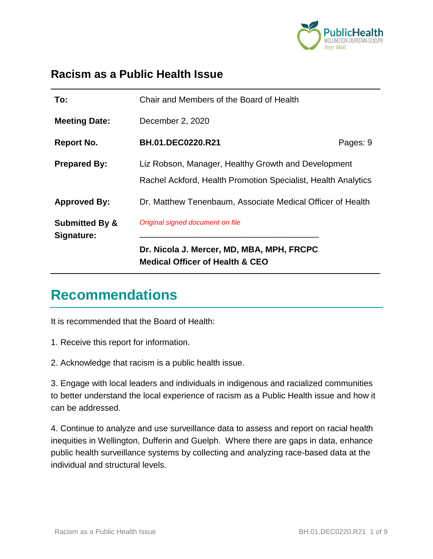

#### **Racism as a Public Health Issue**

| To:                                     | Chair and Members of the Board of Health                                                                             |          |
|-----------------------------------------|----------------------------------------------------------------------------------------------------------------------|----------|
| <b>Meeting Date:</b>                    | December 2, 2020                                                                                                     |          |
| Report No.                              | <b>BH.01.DEC0220.R21</b>                                                                                             | Pages: 9 |
| <b>Prepared By:</b>                     | Liz Robson, Manager, Healthy Growth and Development<br>Rachel Ackford, Health Promotion Specialist, Health Analytics |          |
| <b>Approved By:</b>                     | Dr. Matthew Tenenbaum, Associate Medical Officer of Health                                                           |          |
| <b>Submitted By &amp;</b><br>Signature: | Original signed document on file<br>Dr. Nicola J. Mercer, MD, MBA, MPH, FRCPC<br>Medical Officer of Health & CEO     |          |

#### **Recommendations**

It is recommended that the Board of Health:

1. Receive this report for information.

2. Acknowledge that racism is a public health issue.

3. Engage with local leaders and individuals in indigenous and racialized communities to better understand the local experience of racism as a Public Health issue and how it can be addressed.

4. Continue to analyze and use surveillance data to assess and report on racial health inequities in Wellington, Dufferin and Guelph. Where there are gaps in data, enhance public health surveillance systems by collecting and analyzing race-based data at the individual and structural levels.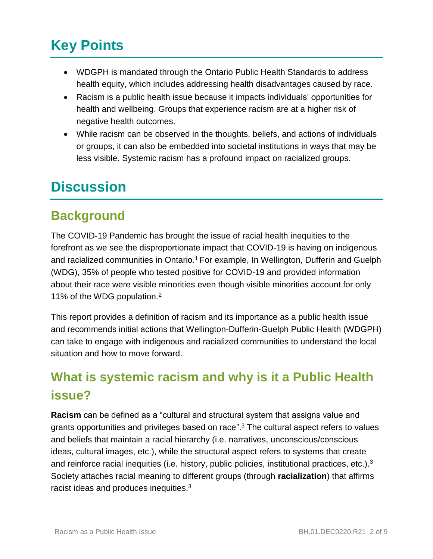## **Key Points**

- WDGPH is mandated through the Ontario Public Health Standards to address health equity, which includes addressing health disadvantages caused by race.
- Racism is a public health issue because it impacts individuals' opportunities for health and wellbeing. Groups that experience racism are at a higher risk of negative health outcomes.
- While racism can be observed in the thoughts, beliefs, and actions of individuals or groups, it can also be embedded into societal institutions in ways that may be less visible. Systemic racism has a profound impact on racialized groups.

#### **Discussion**

#### **Background**

The COVID-19 Pandemic has brought the issue of racial health inequities to the forefront as we see the disproportionate impact that COVID-19 is having on indigenous and racialized communities in Ontario. <sup>1</sup> For example, In Wellington, Dufferin and Guelph (WDG), 35% of people who tested positive for COVID-19 and provided information about their race were visible minorities even though visible minorities account for only 11% of the WDG population.<sup>2</sup>

This report provides a definition of racism and its importance as a public health issue and recommends initial actions that Wellington-Dufferin-Guelph Public Health (WDGPH) can take to engage with indigenous and racialized communities to understand the local situation and how to move forward.

#### **What is systemic racism and why is it a Public Health issue?**

**Racism** can be defined as a "cultural and structural system that assigns value and grants opportunities and privileges based on race". <sup>3</sup> The cultural aspect refers to values and beliefs that maintain a racial hierarchy (i.e. narratives, unconscious/conscious ideas, cultural images, etc.), while the structural aspect refers to systems that create and reinforce racial inequities (i.e. history, public policies, institutional practices, etc.).<sup>3</sup> Society attaches racial meaning to different groups (through **racialization**) that affirms racist ideas and produces inequities.<sup>3</sup>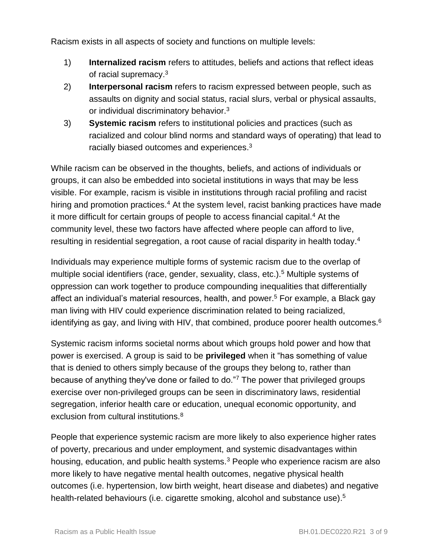Racism exists in all aspects of society and functions on multiple levels:

- 1) **Internalized racism** refers to attitudes, beliefs and actions that reflect ideas of racial supremacy.<sup>3</sup>
- 2) **Interpersonal racism** refers to racism expressed between people, such as assaults on dignity and social status, racial slurs, verbal or physical assaults, or individual discriminatory behavior.<sup>3</sup>
- 3) **Systemic racism** refers to institutional policies and practices (such as racialized and colour blind norms and standard ways of operating) that lead to racially biased outcomes and experiences.<sup>3</sup>

While racism can be observed in the thoughts, beliefs, and actions of individuals or groups, it can also be embedded into societal institutions in ways that may be less visible. For example, racism is visible in institutions through racial profiling and racist hiring and promotion practices.<sup>4</sup> At the system level, racist banking practices have made it more difficult for certain groups of people to access financial capital.<sup>4</sup> At the community level, these two factors have affected where people can afford to live, resulting in residential segregation, a root cause of racial disparity in health today.<sup>4</sup>

Individuals may experience multiple forms of systemic racism due to the overlap of multiple social identifiers (race, gender, sexuality, class, etc.).<sup>5</sup> Multiple systems of oppression can work together to produce compounding inequalities that differentially affect an individual's material resources, health, and power. <sup>5</sup> For example, a Black gay man living with HIV could experience discrimination related to being racialized, identifying as gay, and living with HIV, that combined, produce poorer health outcomes.<sup>6</sup>

Systemic racism informs societal norms about which groups hold power and how that power is exercised. A group is said to be **privileged** when it "has something of value that is denied to others simply because of the groups they belong to, rather than because of anything they've done or failed to do."<sup>7</sup> The power that privileged groups exercise over non-privileged groups can be seen in discriminatory laws, residential segregation, inferior health care or education, unequal economic opportunity, and exclusion from cultural institutions.<sup>8</sup>

People that experience systemic racism are more likely to also experience higher rates of poverty, precarious and under employment, and systemic disadvantages within housing, education, and public health systems.<sup>3</sup> People who experience racism are also more likely to have negative mental health outcomes, negative physical health outcomes (i.e. hypertension, low birth weight, heart disease and diabetes) and negative health-related behaviours (i.e. cigarette smoking, alcohol and substance use).<sup>5</sup>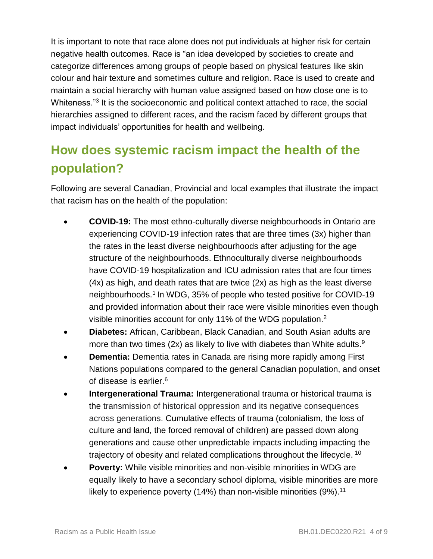It is important to note that race alone does not put individuals at higher risk for certain negative health outcomes. Race is "an idea developed by societies to create and categorize differences among groups of people based on physical features like skin colour and hair texture and sometimes culture and religion. Race is used to create and maintain a social hierarchy with human value assigned based on how close one is to Whiteness."<sup>3</sup> It is the socioeconomic and political context attached to race, the social hierarchies assigned to different races, and the racism faced by different groups that impact individuals' opportunities for health and wellbeing.

#### **How does systemic racism impact the health of the population?**

Following are several Canadian, Provincial and local examples that illustrate the impact that racism has on the health of the population:

- **COVID-19:** The most ethno-culturally diverse neighbourhoods in Ontario are experiencing COVID-19 infection rates that are three times (3x) higher than the rates in the least diverse neighbourhoods after adjusting for the age structure of the neighbourhoods. Ethnoculturally diverse neighbourhoods have COVID-19 hospitalization and ICU admission rates that are four times (4x) as high, and death rates that are twice (2x) as high as the least diverse neighbourhoods.<sup>1</sup> In WDG, 35% of people who tested positive for COVID-19 and provided information about their race were visible minorities even though visible minorities account for only 11% of the WDG population.<sup>2</sup>
- **Diabetes:** African, Caribbean, Black Canadian, and South Asian adults are more than two times (2x) as likely to live with diabetes than White adults.<sup>9</sup>
- **Dementia:** Dementia rates in Canada are rising more rapidly among First Nations populations compared to the general Canadian population, and onset of disease is earlier.<sup>6</sup>
- **Intergenerational Trauma:** Intergenerational trauma or historical trauma is the transmission of historical oppression and its negative consequences across generations. Cumulative effects of trauma (colonialism, the loss of culture and land, the forced removal of children) are passed down along generations and cause other unpredictable impacts including impacting the trajectory of obesity and related complications throughout the lifecycle. <sup>10</sup>
- **Poverty:** While visible minorities and non-visible minorities in WDG are equally likely to have a secondary school diploma, visible minorities are more likely to experience poverty (14%) than non-visible minorities (9%).<sup>11</sup>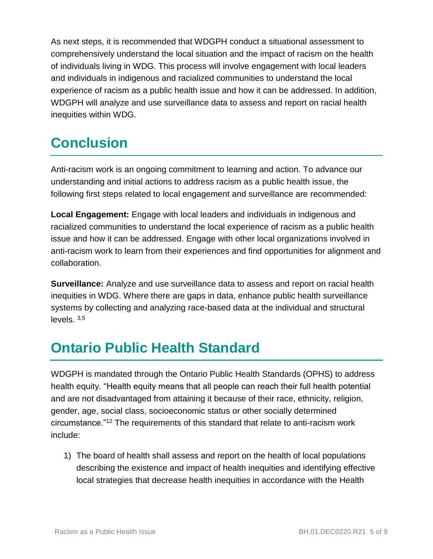As next steps, it is recommended that WDGPH conduct a situational assessment to comprehensively understand the local situation and the impact of racism on the health of individuals living in WDG. This process will involve engagement with local leaders and individuals in indigenous and racialized communities to understand the local experience of racism as a public health issue and how it can be addressed. In addition, WDGPH will analyze and use surveillance data to assess and report on racial health inequities within WDG.

## **Conclusion**

Anti-racism work is an ongoing commitment to learning and action. To advance our understanding and initial actions to address racism as a public health issue, the following first steps related to local engagement and surveillance are recommended:

**Local Engagement:** Engage with local leaders and individuals in indigenous and racialized communities to understand the local experience of racism as a public health issue and how it can be addressed. Engage with other local organizations involved in anti-racism work to learn from their experiences and find opportunities for alignment and collaboration.

**Surveillance:** Analyze and use surveillance data to assess and report on racial health inequities in WDG. Where there are gaps in data, enhance public health surveillance systems by collecting and analyzing race-based data at the individual and structural levels. 3,5

## **Ontario Public Health Standard**

WDGPH is mandated through the Ontario Public Health Standards (OPHS) to address health equity. "Health equity means that all people can reach their full health potential and are not disadvantaged from attaining it because of their race, ethnicity, religion, gender, age, social class, socioeconomic status or other socially determined circumstance."<sup>12</sup> The requirements of this standard that relate to anti-racism work include:

1) The board of health shall assess and report on the health of local populations describing the existence and impact of health inequities and identifying effective local strategies that decrease health inequities in accordance with the Health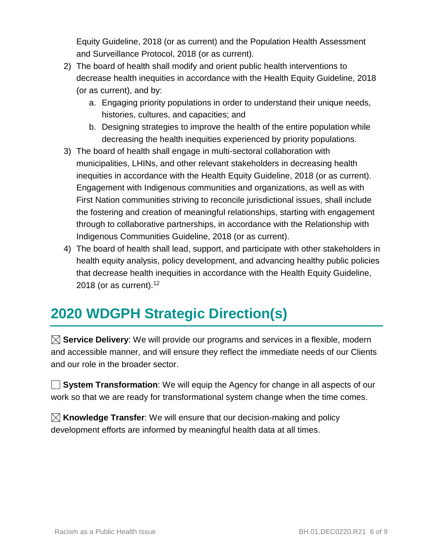Equity Guideline, 2018 (or as current) and the Population Health Assessment and Surveillance Protocol, 2018 (or as current).

- 2) The board of health shall modify and orient public health interventions to decrease health inequities in accordance with the Health Equity Guideline, 2018 (or as current), and by:
	- a. Engaging priority populations in order to understand their unique needs, histories, cultures, and capacities; and
	- b. Designing strategies to improve the health of the entire population while decreasing the health inequities experienced by priority populations.
- 3) The board of health shall engage in multi-sectoral collaboration with municipalities, LHINs, and other relevant stakeholders in decreasing health inequities in accordance with the Health Equity Guideline, 2018 (or as current). Engagement with Indigenous communities and organizations, as well as with First Nation communities striving to reconcile jurisdictional issues, shall include the fostering and creation of meaningful relationships, starting with engagement through to collaborative partnerships, in accordance with the Relationship with Indigenous Communities Guideline, 2018 (or as current).
- 4) The board of health shall lead, support, and participate with other stakeholders in health equity analysis, policy development, and advancing healthy public policies that decrease health inequities in accordance with the Health Equity Guideline, 2018 (or as current).<sup>12</sup>

## **2020 WDGPH Strategic Direction(s)**

**Service Delivery**: We will provide our programs and services in a flexible, modern and accessible manner, and will ensure they reflect the immediate needs of our Clients and our role in the broader sector.

**System Transformation**: We will equip the Agency for change in all aspects of our work so that we are ready for transformational system change when the time comes.

**Knowledge Transfer**: We will ensure that our decision-making and policy development efforts are informed by meaningful health data at all times.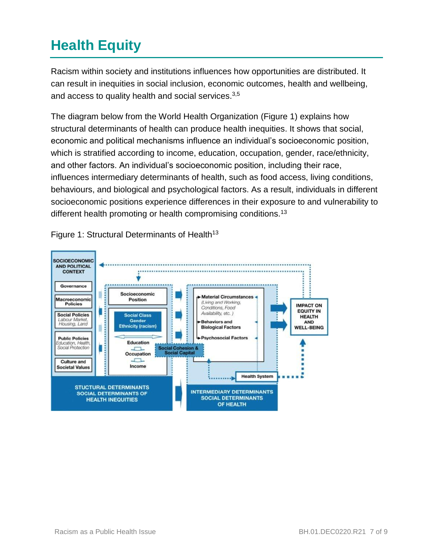# **Health Equity**

Racism within society and institutions influences how opportunities are distributed. It can result in inequities in social inclusion, economic outcomes, health and wellbeing, and access to quality health and social services.<sup>3,5</sup>

The diagram below from the World Health Organization (Figure 1) explains how structural determinants of health can produce health inequities. It shows that social, economic and political mechanisms influence an individual's socioeconomic position, which is stratified according to income, education, occupation, gender, race/ethnicity, and other factors. An individual's socioeconomic position, including their race, influences intermediary determinants of health, such as food access, living conditions, behaviours, and biological and psychological factors. As a result, individuals in different socioeconomic positions experience differences in their exposure to and vulnerability to different health promoting or health compromising conditions.<sup>13</sup>



Figure 1: Structural Determinants of Health<sup>13</sup>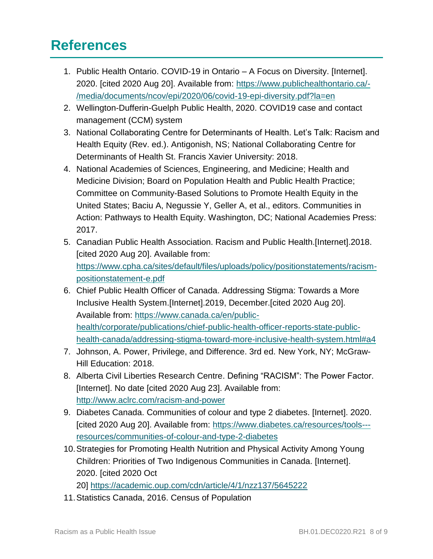## **References**

- 1. Public Health Ontario. COVID-19 in Ontario A Focus on Diversity. [Internet]. 2020. [cited 2020 Aug 20]. Available from: [https://www.publichealthontario.ca/-](https://www.publichealthontario.ca/-/media/documents/ncov/epi/2020/06/covid-19-epi-diversity.pdf?la=en) [/media/documents/ncov/epi/2020/06/covid-19-epi-diversity.pdf?la=en](https://www.publichealthontario.ca/-/media/documents/ncov/epi/2020/06/covid-19-epi-diversity.pdf?la=en)
- 2. Wellington-Dufferin-Guelph Public Health, 2020. COVID19 case and contact management (CCM) system
- 3. National Collaborating Centre for Determinants of Health. Let's Talk: Racism and Health Equity (Rev. ed.). Antigonish, NS; National Collaborating Centre for Determinants of Health St. Francis Xavier University: 2018.
- 4. National Academies of Sciences, Engineering, and Medicine; Health and Medicine Division; Board on Population Health and Public Health Practice; Committee on Community-Based Solutions to Promote Health Equity in the United States; Baciu A, Negussie Y, Geller A, et al., editors. Communities in Action: Pathways to Health Equity. Washington, DC; National Academies Press: 2017.
- 5. Canadian Public Health Association. Racism and Public Health.[Internet].2018. [cited 2020 Aug 20]. Available from: [https://www.cpha.ca/sites/default/files/uploads/policy/positionstatements/racism](https://www.cpha.ca/sites/default/files/uploads/policy/positionstatements/racism-positionstatement-e.pdf)[positionstatement-e.pdf](https://www.cpha.ca/sites/default/files/uploads/policy/positionstatements/racism-positionstatement-e.pdf)
- 6. Chief Public Health Officer of Canada. Addressing Stigma: Towards a More Inclusive Health System.[Internet].2019, December.[cited 2020 Aug 20]. Available from: [https://www.canada.ca/en/public](https://www.canada.ca/en/public-health/corporate/publications/chief-public-health-officer-reports-state-public-health-canada/addressing-stigma-toward-more-inclusive-health-system.html#a4)[health/corporate/publications/chief-public-health-officer-reports-state-public](https://www.canada.ca/en/public-health/corporate/publications/chief-public-health-officer-reports-state-public-health-canada/addressing-stigma-toward-more-inclusive-health-system.html#a4)[health-canada/addressing-stigma-toward-more-inclusive-health-system.html#a4](https://www.canada.ca/en/public-health/corporate/publications/chief-public-health-officer-reports-state-public-health-canada/addressing-stigma-toward-more-inclusive-health-system.html#a4)
- 7. Johnson, A. Power, Privilege, and Difference. 3rd ed. New York, NY; McGraw-Hill Education: 2018.
- 8. Alberta Civil Liberties Research Centre. Defining "RACISM": The Power Factor. [Internet]. No date [cited 2020 Aug 23]. Available from: <http://www.aclrc.com/racism-and-power>
- 9. Diabetes Canada. Communities of colour and type 2 diabetes. [Internet]. 2020. [cited 2020 Aug 20]. Available from: [https://www.diabetes.ca/resources/tools--](https://www.diabetes.ca/resources/tools---resources/communities-of-colour-and-type-2-diabetes) [resources/communities-of-colour-and-type-2-diabetes](https://www.diabetes.ca/resources/tools---resources/communities-of-colour-and-type-2-diabetes)
- 10.Strategies for Promoting Health Nutrition and Physical Activity Among Young Children: Priorities of Two Indigenous Communities in Canada. [Internet]. 2020. [cited 2020 Oct

20] <https://academic.oup.com/cdn/article/4/1/nzz137/5645222>

11.Statistics Canada, 2016. Census of Population